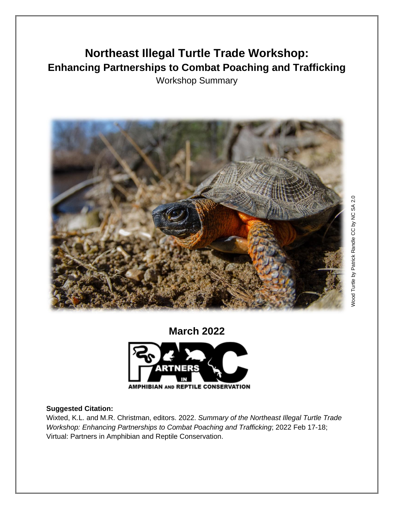# **Northeast Illegal Turtle Trade Workshop: Enhancing Partnerships to Combat Poaching and Trafficking** Workshop Summary



**March 2022**



#### **Suggested Citation:**

Wixted, K.L. and M.R. Christman, editors. 2022. *Summary of the Northeast Illegal Turtle Trade Workshop: Enhancing Partnerships to Combat Poaching and Trafficking*; 2022 Feb 17-18; Virtual: Partners in Amphibian and Reptile Conservation.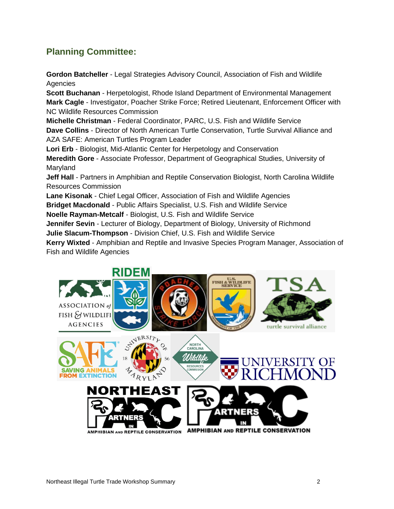### **Planning Committee:**

**Gordon Batcheller** - Legal Strategies Advisory Council, Association of Fish and Wildlife Agencies

**Scott Buchanan** - Herpetologist, Rhode Island Department of Environmental Management **Mark Cagle** - Investigator, Poacher Strike Force; Retired Lieutenant, Enforcement Officer with NC Wildlife Resources Commission

**Michelle Christman** - Federal Coordinator, PARC, U.S. Fish and Wildlife Service **Dave Collins** - Director of North American Turtle Conservation, Turtle Survival Alliance and AZA SAFE: American Turtles Program Leader

**Lori Erb** - Biologist, Mid-Atlantic Center for Herpetology and Conservation **Meredith Gore** - Associate Professor, Department of Geographical Studies, University of

Maryland

**Jeff Hall** - Partners in Amphibian and Reptile Conservation Biologist, North Carolina Wildlife Resources Commission

**Lane Kisonak** - Chief Legal Officer, Association of Fish and Wildlife Agencies

**Bridget Macdonald** - Public Affairs Specialist, U.S. Fish and Wildlife Service

**Noelle Rayman-Metcalf** - Biologist, U.S. Fish and Wildlife Service

**Jennifer Sevin** - Lecturer of Biology, Department of Biology, University of Richmond

**Julie Slacum-Thompson** - Division Chief, U.S. Fish and Wildlife Service

**Kerry Wixted** - Amphibian and Reptile and Invasive Species Program Manager, Association of Fish and Wildlife Agencies

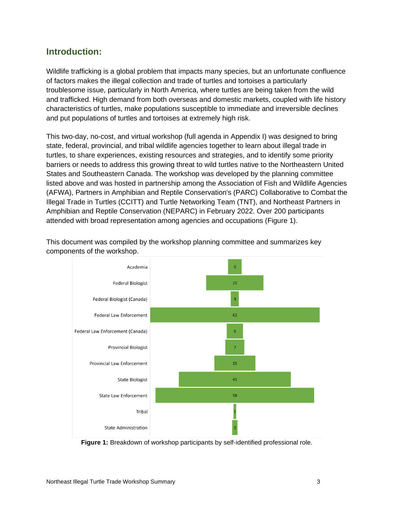### **Introduction:**

Wildlife trafficking is a global problem that impacts many species, but an unfortunate confluence of factors makes the illegal collection and trade of turtles and tortoises a particularly troublesome issue, particularly in North America, where turtles are being taken from the wild and trafficked. High demand from both overseas and domestic markets, coupled with life history characteristics of turtles, make populations susceptible to immediate and irreversible declines and put populations of turtles and tortoises at extremely high risk.

This two-day, no-cost, and virtual workshop (full agenda in Appendix I) was designed to bring state, federal, provincial, and tribal wildlife agencies together to learn about illegal trade in turtles, to share experiences, existing resources and strategies, and to identify some priority barriers or needs to address this growing threat to wild turtles native to the Northeastern United States and Southeastern Canada. The workshop was developed by the planning committee listed above and was hosted in partnership among the Association of Fish and Wildlife Agencies (AFWA), Partners in Amphibian and Reptile Conservation's (PARC) Collaborative to Combat the Illegal Trade in Turtles (CCITT) and Turtle Networking Team (TNT), and Northeast Partners in Amphibian and Reptile Conservation (NEPARC) in February 2022. Over 200 participants attended with broad representation among agencies and occupations (Figure 1).



This document was compiled by the workshop planning committee and summarizes key components of the workshop.

**Figure 1:** Breakdown of workshop participants by self-identified professional role.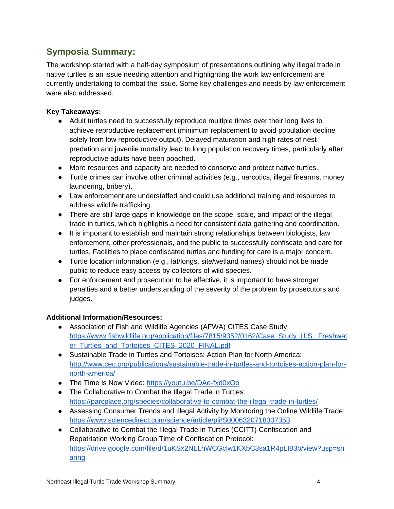## **Symposia Summary:**

The workshop started with a half-day symposium of presentations outlining why illegal trade in native turtles is an issue needing attention and highlighting the work law enforcement are currently undertaking to combat the issue. Some key challenges and needs by law enforcement were also addressed.

#### **Key Takeaways:**

- Adult turtles need to successfully reproduce multiple times over their long lives to achieve reproductive replacement (minimum replacement to avoid population decline solely from low reproductive output). Delayed maturation and high rates of nest predation and juvenile mortality lead to long population recovery times, particularly after reproductive adults have been poached.
- More resources and capacity are needed to conserve and protect native turtles.
- Turtle crimes can involve other criminal activities (e.g., narcotics, illegal firearms, money laundering, bribery).
- Law enforcement are understaffed and could use additional training and resources to address wildlife trafficking.
- There are still large gaps in knowledge on the scope, scale, and impact of the illegal trade in turtles, which highlights a need for consistent data gathering and coordination.
- It is important to establish and maintain strong relationships between biologists, law enforcement, other professionals, and the public to successfully confiscate and care for turtles. Facilities to place confiscated turtles and funding for care is a major concern.
- Turtle location information (e.g., lat/longs, site/wetland names) should not be made public to reduce easy access by collectors of wild species.
- For enforcement and prosecution to be effective, it is important to have stronger penalties and a better understanding of the severity of the problem by prosecutors and judges.

#### **Additional Information/Resources:**

- Association of Fish and Wildlife Agencies (AFWA) CITES Case Study: [https://www.fishwildlife.org/application/files/7815/9352/0162/Case\\_Study\\_U.S.\\_Freshwat](https://www.fishwildlife.org/application/files/7815/9352/0162/Case_Study_U.S._Freshwater_Turtles_and_Tortoises_CITES_2020_FINAL.pdf) [er\\_Turtles\\_and\\_Tortoises\\_CITES\\_2020\\_FINAL.pdf](https://www.fishwildlife.org/application/files/7815/9352/0162/Case_Study_U.S._Freshwater_Turtles_and_Tortoises_CITES_2020_FINAL.pdf)
- Sustainable Trade in Turtles and Tortoises: Action Plan for North America: [http://www.cec.org/publications/sustainable-trade-in-turtles-and-tortoises-action-plan-for](http://www.cec.org/publications/sustainable-trade-in-turtles-and-tortoises-action-plan-for-north-america/)[north-america/](http://www.cec.org/publications/sustainable-trade-in-turtles-and-tortoises-action-plan-for-north-america/)
- The Time is Now Video:<https://youtu.be/DAe-fxd0xOo>
- The Collaborative to Combat the Illegal Trade in Turtles: <https://parcplace.org/species/collaborative-to-combat-the-illegal-trade-in-turtles/>
- Assessing Consumer Trends and Illegal Activity by Monitoring the Online Wildlife Trade: <https://www.sciencedirect.com/science/article/pii/S0006320718307353>
- Collaborative to Combat the Illegal Trade in Turtles (CCITT) Confiscation and Repatriation Working Group Time of Confiscation Protocol: [https://drive.google.com/file/d/1uKSx2NLLhWCGclw1KXbC3sa1R4pLI83b/view?usp=sh](https://drive.google.com/file/d/1uKSx2NLLhWCGclw1KXbC3sa1R4pLI83b/view?usp=sharing) [aring](https://drive.google.com/file/d/1uKSx2NLLhWCGclw1KXbC3sa1R4pLI83b/view?usp=sharing)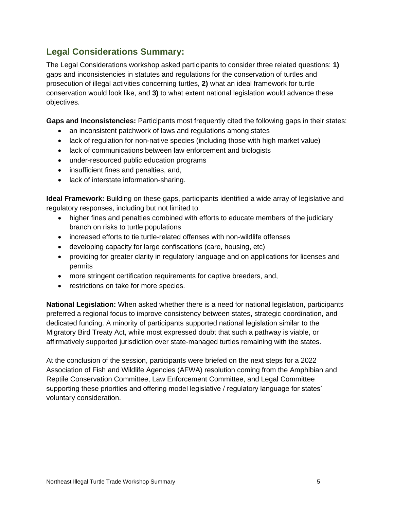### **Legal Considerations Summary:**

The Legal Considerations workshop asked participants to consider three related questions: **1)** gaps and inconsistencies in statutes and regulations for the conservation of turtles and prosecution of illegal activities concerning turtles, **2)** what an ideal framework for turtle conservation would look like, and **3)** to what extent national legislation would advance these objectives.

**Gaps and Inconsistencies:** Participants most frequently cited the following gaps in their states:

- an inconsistent patchwork of laws and regulations among states
- lack of regulation for non-native species (including those with high market value)
- lack of communications between law enforcement and biologists
- under-resourced public education programs
- insufficient fines and penalties, and,
- lack of interstate information-sharing.

**Ideal Framework:** Building on these gaps, participants identified a wide array of legislative and regulatory responses, including but not limited to:

- higher fines and penalties combined with efforts to educate members of the judiciary branch on risks to turtle populations
- increased efforts to tie turtle-related offenses with non-wildlife offenses
- developing capacity for large confiscations (care, housing, etc)
- providing for greater clarity in regulatory language and on applications for licenses and permits
- more stringent certification requirements for captive breeders, and,
- restrictions on take for more species.

**National Legislation:** When asked whether there is a need for national legislation, participants preferred a regional focus to improve consistency between states, strategic coordination, and dedicated funding. A minority of participants supported national legislation similar to the Migratory Bird Treaty Act, while most expressed doubt that such a pathway is viable, or affirmatively supported jurisdiction over state-managed turtles remaining with the states.

At the conclusion of the session, participants were briefed on the next steps for a 2022 Association of Fish and Wildlife Agencies (AFWA) resolution coming from the Amphibian and Reptile Conservation Committee, Law Enforcement Committee, and Legal Committee supporting these priorities and offering model legislative / regulatory language for states' voluntary consideration.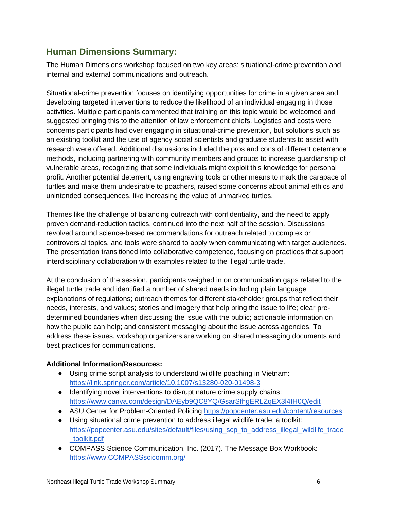### **Human Dimensions Summary:**

The Human Dimensions workshop focused on two key areas: situational-crime prevention and internal and external communications and outreach.

Situational-crime prevention focuses on identifying opportunities for crime in a given area and developing targeted interventions to reduce the likelihood of an individual engaging in those activities. Multiple participants commented that training on this topic would be welcomed and suggested bringing this to the attention of law enforcement chiefs. Logistics and costs were concerns participants had over engaging in situational-crime prevention, but solutions such as an existing toolkit and the use of agency social scientists and graduate students to assist with research were offered. Additional discussions included the pros and cons of different deterrence methods, including partnering with community members and groups to increase guardianship of vulnerable areas, recognizing that some individuals might exploit this knowledge for personal profit. Another potential deterrent, using engraving tools or other means to mark the carapace of turtles and make them undesirable to poachers, raised some concerns about animal ethics and unintended consequences, like increasing the value of unmarked turtles.

Themes like the challenge of balancing outreach with confidentiality, and the need to apply proven demand-reduction tactics, continued into the next half of the session. Discussions revolved around science-based recommendations for outreach related to complex or controversial topics, and tools were shared to apply when communicating with target audiences. The presentation transitioned into collaborative competence, focusing on practices that support interdisciplinary collaboration with examples related to the illegal turtle trade.

At the conclusion of the session, participants weighed in on communication gaps related to the illegal turtle trade and identified a number of shared needs including plain language explanations of regulations; outreach themes for different stakeholder groups that reflect their needs, interests, and values; stories and imagery that help bring the issue to life; clear predetermined boundaries when discussing the issue with the public; actionable information on how the public can help; and consistent messaging about the issue across agencies. To address these issues, workshop organizers are working on shared messaging documents and best practices for communications.

#### **Additional Information/Resources:**

- Using crime script analysis to understand wildlife poaching in Vietnam: <https://link.springer.com/article/10.1007/s13280-020-01498-3>
- Identifying novel interventions to disrupt nature crime supply chains: <https://www.canva.com/design/DAEyb9QC8YQ/GsarSfhgERLZqEX3l4IH0Q/edit>
- ASU Center for Problem-Oriented Policing<https://popcenter.asu.edu/content/resources>
- Using situational crime prevention to address illegal wildlife trade: a toolkit: [https://popcenter.asu.edu/sites/default/files/using\\_scp\\_to\\_address\\_illegal\\_wildlife\\_trade](https://popcenter.asu.edu/sites/default/files/using_scp_to_address_illegal_wildlife_trade_toolkit.pdf) [\\_toolkit.pdf](https://popcenter.asu.edu/sites/default/files/using_scp_to_address_illegal_wildlife_trade_toolkit.pdf)
- COMPASS Science Communication, Inc. (2017). The Message Box Workbook: [https://www.COMPASSscicomm.org/](https://www.compassscicomm.org/)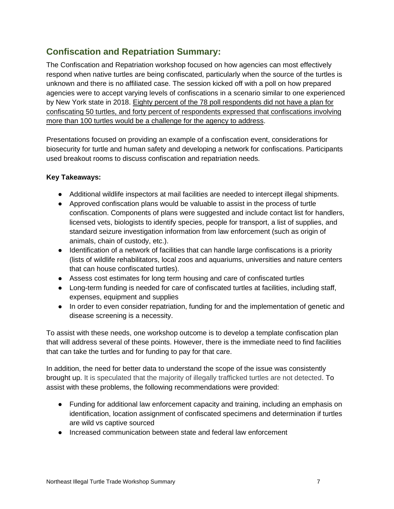### **Confiscation and Repatriation Summary:**

The Confiscation and Repatriation workshop focused on how agencies can most effectively respond when native turtles are being confiscated, particularly when the source of the turtles is unknown and there is no affiliated case. The session kicked off with a poll on how prepared agencies were to accept varying levels of confiscations in a scenario similar to one experienced by New York state in 2018. Eighty percent of the 78 poll respondents did not have a plan for confiscating 50 turtles, and forty percent of respondents expressed that confiscations involving more than 100 turtles would be a challenge for the agency to address.

Presentations focused on providing an example of a confiscation event, considerations for biosecurity for turtle and human safety and developing a network for confiscations. Participants used breakout rooms to discuss confiscation and repatriation needs.

#### **Key Takeaways:**

- Additional wildlife inspectors at mail facilities are needed to intercept illegal shipments.
- Approved confiscation plans would be valuable to assist in the process of turtle confiscation. Components of plans were suggested and include contact list for handlers, licensed vets, biologists to identify species, people for transport, a list of supplies, and standard seizure investigation information from law enforcement (such as origin of animals, chain of custody, etc.).
- Identification of a network of facilities that can handle large confiscations is a priority (lists of wildlife rehabilitators, local zoos and aquariums, universities and nature centers that can house confiscated turtles).
- Assess cost estimates for long term housing and care of confiscated turtles
- Long-term funding is needed for care of confiscated turtles at facilities, including staff, expenses, equipment and supplies
- In order to even consider repatriation, funding for and the implementation of genetic and disease screening is a necessity.

To assist with these needs, one workshop outcome is to develop a template confiscation plan that will address several of these points. However, there is the immediate need to find facilities that can take the turtles and for funding to pay for that care.

In addition, the need for better data to understand the scope of the issue was consistently brought up. It is speculated that the majority of illegally trafficked turtles are not detected. To assist with these problems, the following recommendations were provided:

- Funding for additional law enforcement capacity and training, including an emphasis on identification, location assignment of confiscated specimens and determination if turtles are wild vs captive sourced
- Increased communication between state and federal law enforcement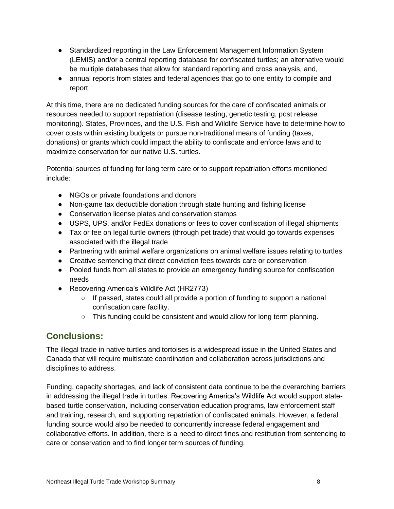- Standardized reporting in the Law Enforcement Management Information System (LEMIS) and/or a central reporting database for confiscated turtles; an alternative would be multiple databases that allow for standard reporting and cross analysis, and,
- annual reports from states and federal agencies that go to one entity to compile and report.

At this time, there are no dedicated funding sources for the care of confiscated animals or resources needed to support repatriation (disease testing, genetic testing, post release monitoring). States, Provinces, and the U.S. Fish and Wildlife Service have to determine how to cover costs within existing budgets or pursue non-traditional means of funding (taxes, donations) or grants which could impact the ability to confiscate and enforce laws and to maximize conservation for our native U.S. turtles.

Potential sources of funding for long term care or to support repatriation efforts mentioned include:

- NGOs or private foundations and donors
- Non-game tax deductible donation through state hunting and fishing license
- Conservation license plates and conservation stamps
- USPS, UPS, and/or FedEx donations or fees to cover confiscation of illegal shipments
- Tax or fee on legal turtle owners (through pet trade) that would go towards expenses associated with the illegal trade
- Partnering with animal welfare organizations on animal welfare issues relating to turtles
- Creative sentencing that direct conviction fees towards care or conservation
- Pooled funds from all states to provide an emergency funding source for confiscation needs
- Recovering America's Wildlife Act (HR2773)
	- $\circ$  If passed, states could all provide a portion of funding to support a national confiscation care facility.
	- This funding could be consistent and would allow for long term planning.

### **Conclusions:**

The illegal trade in native turtles and tortoises is a widespread issue in the United States and Canada that will require multistate coordination and collaboration across jurisdictions and disciplines to address.

Funding, capacity shortages, and lack of consistent data continue to be the overarching barriers in addressing the illegal trade in turtles. Recovering America's Wildlife Act would support statebased turtle conservation, including conservation education programs, law enforcement staff and training, research, and supporting repatriation of confiscated animals. However, a federal funding source would also be needed to concurrently increase federal engagement and collaborative efforts. In addition, there is a need to direct fines and restitution from sentencing to care or conservation and to find longer term sources of funding.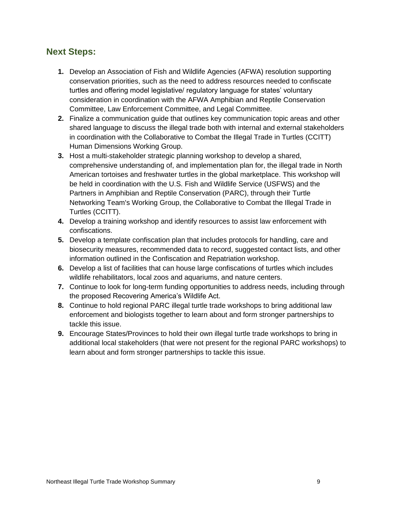### **Next Steps:**

- **1.** Develop an Association of Fish and Wildlife Agencies (AFWA) resolution supporting conservation priorities, such as the need to address resources needed to confiscate turtles and offering model legislative/ regulatory language for states' voluntary consideration in coordination with the AFWA Amphibian and Reptile Conservation Committee, Law Enforcement Committee, and Legal Committee.
- **2.** Finalize a communication guide that outlines key communication topic areas and other shared language to discuss the illegal trade both with internal and external stakeholders in coordination with the Collaborative to Combat the Illegal Trade in Turtles (CCITT) Human Dimensions Working Group.
- **3.** Host a multi-stakeholder strategic planning workshop to develop a shared, comprehensive understanding of, and implementation plan for, the illegal trade in North American tortoises and freshwater turtles in the global marketplace. This workshop will be held in coordination with the U.S. Fish and Wildlife Service (USFWS) and the Partners in Amphibian and Reptile Conservation (PARC), through their Turtle Networking Team's Working Group, the Collaborative to Combat the Illegal Trade in Turtles (CCITT).
- **4.** Develop a training workshop and identify resources to assist law enforcement with confiscations.
- **5.** Develop a template confiscation plan that includes protocols for handling, care and biosecurity measures, recommended data to record, suggested contact lists, and other information outlined in the Confiscation and Repatriation workshop.
- **6.** Develop a list of facilities that can house large confiscations of turtles which includes wildlife rehabilitators, local zoos and aquariums, and nature centers.
- **7.** Continue to look for long-term funding opportunities to address needs, including through the proposed Recovering America's Wildlife Act.
- **8.** Continue to hold regional PARC illegal turtle trade workshops to bring additional law enforcement and biologists together to learn about and form stronger partnerships to tackle this issue.
- **9.** Encourage States/Provinces to hold their own illegal turtle trade workshops to bring in additional local stakeholders (that were not present for the regional PARC workshops) to learn about and form stronger partnerships to tackle this issue.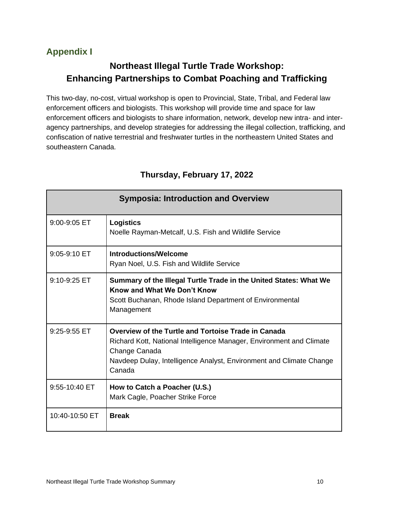# **Appendix I**

# **Northeast Illegal Turtle Trade Workshop: Enhancing Partnerships to Combat Poaching and Trafficking**

This two-day, no-cost, virtual workshop is open to Provincial, State, Tribal, and Federal law enforcement officers and biologists. This workshop will provide time and space for law enforcement officers and biologists to share information, network, develop new intra- and interagency partnerships, and develop strategies for addressing the illegal collection, trafficking, and confiscation of native terrestrial and freshwater turtles in the northeastern United States and southeastern Canada.

| <b>Symposia: Introduction and Overview</b> |                                                                                                                                                                                                                               |  |
|--------------------------------------------|-------------------------------------------------------------------------------------------------------------------------------------------------------------------------------------------------------------------------------|--|
| 9:00-9:05 ET                               | <b>Logistics</b><br>Noelle Rayman-Metcalf, U.S. Fish and Wildlife Service                                                                                                                                                     |  |
| 9:05-9:10 ET                               | <b>Introductions/Welcome</b><br>Ryan Noel, U.S. Fish and Wildlife Service                                                                                                                                                     |  |
| 9:10-9:25 ET                               | Summary of the Illegal Turtle Trade in the United States: What We<br>Know and What We Don't Know<br>Scott Buchanan, Rhode Island Department of Environmental<br>Management                                                    |  |
| 9:25-9:55 ET                               | Overview of the Turtle and Tortoise Trade in Canada<br>Richard Kott, National Intelligence Manager, Environment and Climate<br>Change Canada<br>Navdeep Dulay, Intelligence Analyst, Environment and Climate Change<br>Canada |  |
| 9:55-10:40 ET                              | How to Catch a Poacher (U.S.)<br>Mark Cagle, Poacher Strike Force                                                                                                                                                             |  |
| 10:40-10:50 ET                             | <b>Break</b>                                                                                                                                                                                                                  |  |

### **Thursday, February 17, 2022**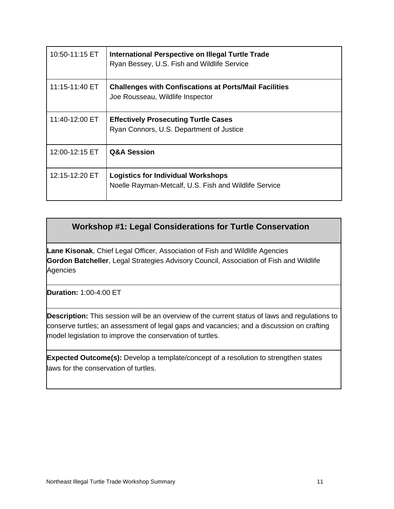| 10:50-11:15 ET | International Perspective on Illegal Turtle Trade<br>Ryan Bessey, U.S. Fish and Wildlife Service   |
|----------------|----------------------------------------------------------------------------------------------------|
| 11:15-11:40 ET | <b>Challenges with Confiscations at Ports/Mail Facilities</b><br>Joe Rousseau, Wildlife Inspector  |
| 11:40-12:00 ET | <b>Effectively Prosecuting Turtle Cases</b><br>Ryan Connors, U.S. Department of Justice            |
| 12:00-12:15 ET | <b>Q&amp;A Session</b>                                                                             |
| 12:15-12:20 ET | <b>Logistics for Individual Workshops</b><br>Noelle Rayman-Metcalf, U.S. Fish and Wildlife Service |

### **Workshop #1: Legal Considerations for Turtle Conservation**

**Lane Kisonak**, Chief Legal Officer, Association of Fish and Wildlife Agencies **Gordon Batcheller**, Legal Strategies Advisory Council, Association of Fish and Wildlife Agencies

**Duration:** 1:00-4:00 ET

**Description:** This session will be an overview of the current status of laws and regulations to conserve turtles; an assessment of legal gaps and vacancies; and a discussion on crafting model legislation to improve the conservation of turtles.

**Expected Outcome(s):** Develop a template/concept of a resolution to strengthen states laws for the conservation of turtles.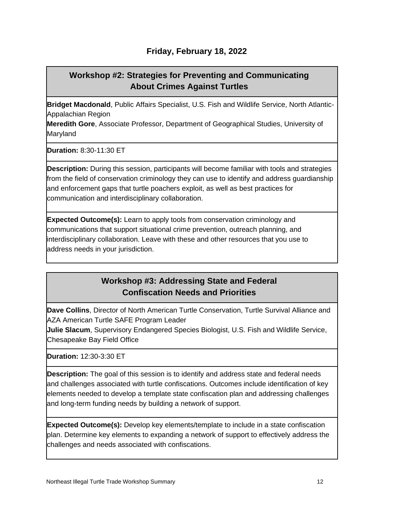### **Workshop #2: Strategies for Preventing and Communicating About Crimes Against Turtles**

**Bridget Macdonald**, Public Affairs Specialist, U.S. Fish and Wildlife Service, North Atlantic-Appalachian Region

**Meredith Gore**, Associate Professor, Department of Geographical Studies, University of Maryland

**Duration:** 8:30-11:30 ET

**Description:** During this session, participants will become familiar with tools and strategies from the field of conservation criminology they can use to identify and address guardianship and enforcement gaps that turtle poachers exploit, as well as best practices for communication and interdisciplinary collaboration.

**Expected Outcome(s):** Learn to apply tools from conservation criminology and communications that support situational crime prevention, outreach planning, and interdisciplinary collaboration. Leave with these and other resources that you use to address needs in your jurisdiction.

### **Workshop #3: Addressing State and Federal Confiscation Needs and Priorities**

**Dave Collins**, Director of North American Turtle Conservation, Turtle Survival Alliance and AZA American Turtle SAFE Program Leader

**Julie Slacum**, Supervisory Endangered Species Biologist, U.S. Fish and Wildlife Service, Chesapeake Bay Field Office

**Duration:** 12:30-3:30 ET

**Description:** The goal of this session is to identify and address state and federal needs and challenges associated with turtle confiscations. Outcomes include identification of key elements needed to develop a template state confiscation plan and addressing challenges and long-term funding needs by building a network of support.

**Expected Outcome(s):** Develop key elements/template to include in a state confiscation plan. Determine key elements to expanding a network of support to effectively address the challenges and needs associated with confiscations.